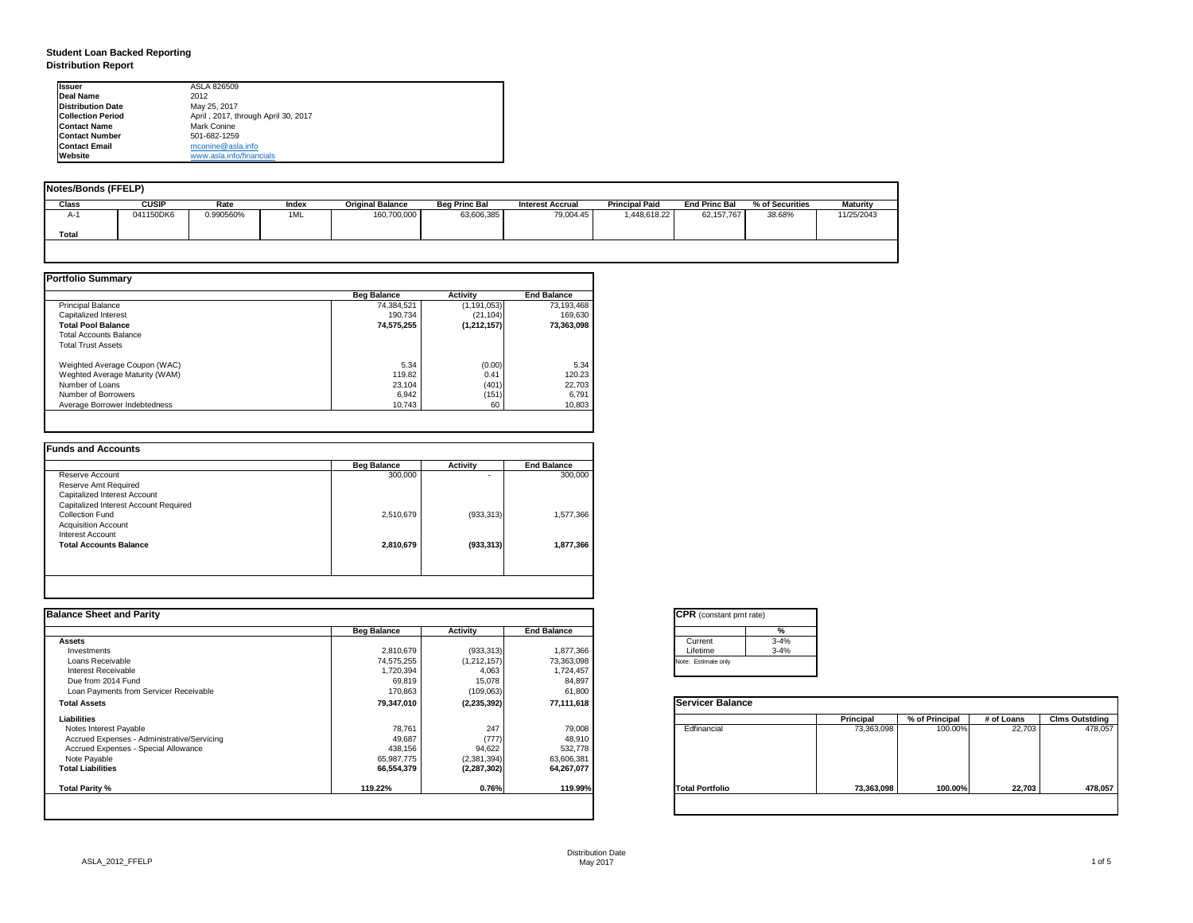| tant pmt rate) |          |
|----------------|----------|
|                | %        |
|                | $3 - 4%$ |
|                | $3 - 4%$ |
| only           |          |

|      | <b>Principal</b> | % of Principal | # of Loans | <b>Clms Outstding</b> |  |  |
|------|------------------|----------------|------------|-----------------------|--|--|
| al   | 73,363,098       | 100.00%        | 22,703     | 478,057               |  |  |
| olio | 73,363,098       | 100.00%        | 22,703     | 478,057               |  |  |

# **Student Loan Backed Reporting Distribution Report**

| <b>Notes/Bonds (FFELP)</b> |              |           |       |                         |                      |                         |                       |                      |                 |            |
|----------------------------|--------------|-----------|-------|-------------------------|----------------------|-------------------------|-----------------------|----------------------|-----------------|------------|
| <b>Class</b>               | <b>CUSIP</b> | Rate      | Index | <b>Original Balance</b> | <b>Beg Princ Bal</b> | <b>Interest Accrual</b> | <b>Principal Paid</b> | <b>End Princ Bal</b> | % of Securities | Maturity   |
| A-1                        | 041150DK6    | 0.990560% | 1ML   | 160,700,000             | 63,606,385           | 79,004.45               | 1,448,618.22          | 62,157,767           | 38.68%          | 11/25/2043 |
| Total                      |              |           |       |                         |                      |                         |                       |                      |                 |            |
|                            |              |           |       |                         |                      |                         |                       |                      |                 |            |

|                                | <b>Beg Balance</b> | <b>Activity</b> | <b>End Balance</b> |
|--------------------------------|--------------------|-----------------|--------------------|
| <b>Principal Balance</b>       | 74,384,521         | (1, 191, 053)   | 73,193,468         |
| <b>Capitalized Interest</b>    | 190,734            | (21, 104)       | 169,630            |
| <b>Total Pool Balance</b>      | 74,575,255         | (1,212,157)     | 73,363,098         |
| <b>Total Accounts Balance</b>  |                    |                 |                    |
| <b>Total Trust Assets</b>      |                    |                 |                    |
| Weighted Average Coupon (WAC)  | 5.34               | (0.00)          | 5.34               |
| Weghted Average Maturity (WAM) | 119.82             | 0.41            | 120.23             |
| Number of Loans                | 23,104             | (401)           | 22,703             |
| Number of Borrowers            | 6,942              | (151)           | 6,791              |
| Average Borrower Indebtedness  | 10,743             | 60              | 10,803             |

|                                       | <b>Beg Balance</b> | <b>Activity</b> | <b>End Balance</b> |
|---------------------------------------|--------------------|-----------------|--------------------|
| Reserve Account                       | 300,000            | ۰               | 300,000            |
| Reserve Amt Required                  |                    |                 |                    |
| <b>Capitalized Interest Account</b>   |                    |                 |                    |
| Capitalized Interest Account Required |                    |                 |                    |
| <b>Collection Fund</b>                | 2,510,679          | (933, 313)      | 1,577,366          |
| <b>Acquisition Account</b>            |                    |                 |                    |
| <b>Interest Account</b>               |                    |                 |                    |
| <b>Total Accounts Balance</b>         | 2,810,679          | (933, 313)      | 1,877,366          |
|                                       |                    |                 |                    |

| <b>Ilssuer</b>           | ASLA 826509                         |
|--------------------------|-------------------------------------|
| Deal Name                | 2012                                |
| <b>Distribution Date</b> | May 25, 2017                        |
| <b>Collection Period</b> | April, 2017, through April 30, 2017 |
| <b>Contact Name</b>      | Mark Conine                         |
| <b>Contact Number</b>    | 501-682-1259                        |
| <b>Contact Email</b>     | mconine@asla.info                   |
| <b>IWebsite</b>          | www.asla.info/financials            |

| <b>Balance Sheet and Parity</b>             |                    |                 |                    | <b>CPR</b> (constant pmt rate) |          |                  |                |            |                       |
|---------------------------------------------|--------------------|-----------------|--------------------|--------------------------------|----------|------------------|----------------|------------|-----------------------|
|                                             | <b>Beg Balance</b> | <b>Activity</b> | <b>End Balance</b> |                                |          |                  |                |            |                       |
| Assets                                      |                    |                 |                    | Current                        | $3 - 4%$ |                  |                |            |                       |
| Investments                                 | 2,810,679          | (933, 313)      | 1,877,366          | Lifetime                       | $3 - 4%$ |                  |                |            |                       |
| Loans Receivable                            | 74,575,255         | (1,212,157)     | 73,363,098         | Note: Estimate only            |          |                  |                |            |                       |
| <b>Interest Receivable</b>                  | 1,720,394          | 4,063           | 1,724,457          |                                |          |                  |                |            |                       |
| Due from 2014 Fund                          | 69,819             | 15,078          | 84,897             |                                |          |                  |                |            |                       |
| Loan Payments from Servicer Receivable      | 170,863            | (109,063)       | 61,800             |                                |          |                  |                |            |                       |
| <b>Total Assets</b>                         | 79,347,010         | (2, 235, 392)   | 77,111,618         | <b>Servicer Balance</b>        |          |                  |                |            |                       |
| <b>Liabilities</b>                          |                    |                 |                    |                                |          | <b>Principal</b> | % of Principal | # of Loans | <b>Clms Outstding</b> |
| Notes Interest Payable                      | 78,761             | 247             | 79,008             | Edfinancial                    |          | 73,363,098       | 100.00%        | 22,703     | 478,057               |
| Accrued Expenses - Administrative/Servicing | 49,687             | (777)           | 48,910             |                                |          |                  |                |            |                       |
| Accrued Expenses - Special Allowance        | 438,156            | 94,622          | 532,778            |                                |          |                  |                |            |                       |
| Note Payable                                | 65,987,775         | (2,381,394)     | 63,606,381         |                                |          |                  |                |            |                       |
| <b>Total Liabilities</b>                    | 66,554,379         | (2, 287, 302)   | 64,267,077         |                                |          |                  |                |            |                       |
| <b>Total Parity %</b>                       | 119.22%            | 0.76%           | 119.99%            | <b>Total Portfolio</b>         |          | 73,363,098       | 100.00%        | 22,703     | 478,057               |
|                                             |                    |                 |                    |                                |          |                  |                |            |                       |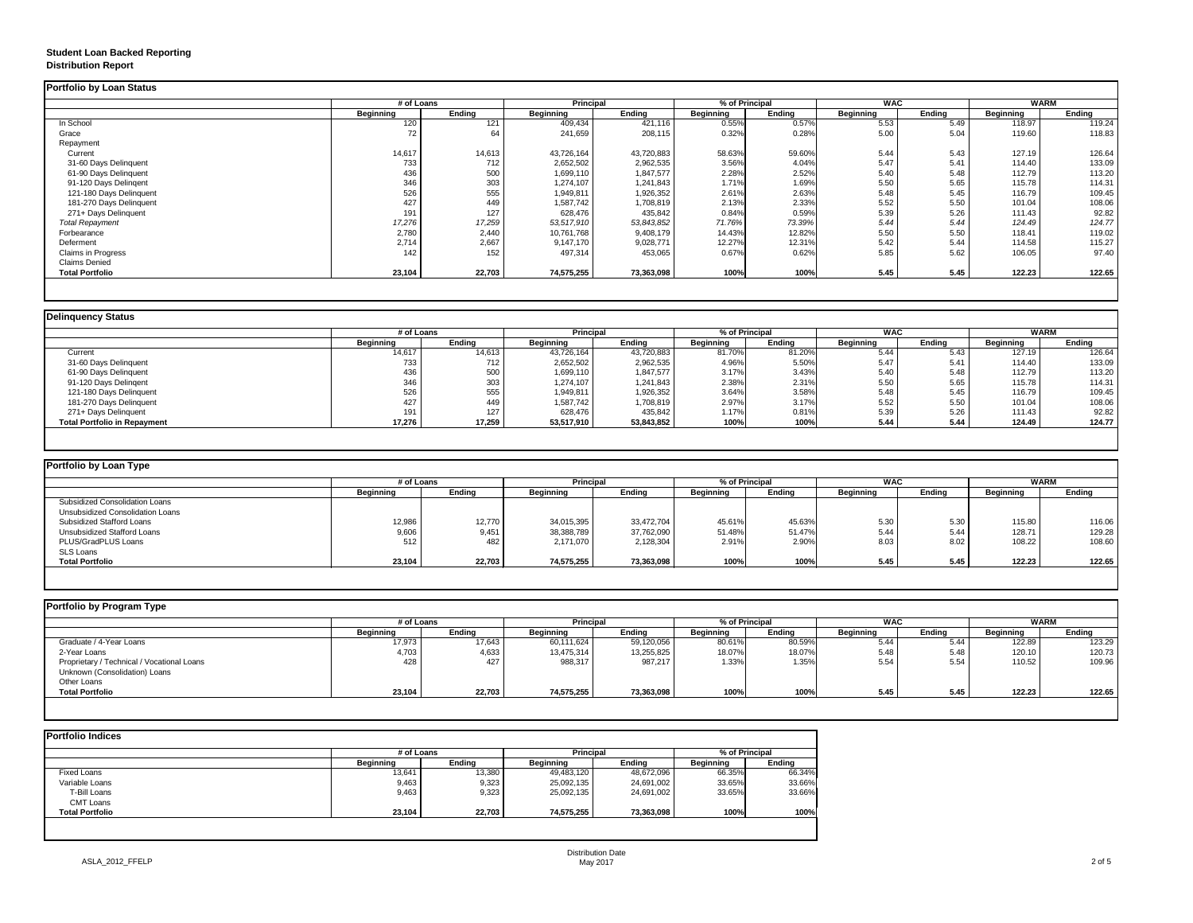## **Student Loan Backed Reporting Distribution Report**

## **Delinquency Status**

|                           | # of Loans       |               | <b>Principal</b> |               |                  | % of Principal |                  | <b>WAC</b>    | <b>WARM</b>      |               |
|---------------------------|------------------|---------------|------------------|---------------|------------------|----------------|------------------|---------------|------------------|---------------|
|                           | <b>Beginning</b> | <b>Ending</b> | <b>Beginning</b> | <b>Ending</b> | <b>Beginning</b> | <b>Ending</b>  | <b>Beginning</b> | <b>Ending</b> | <b>Beginning</b> | <b>Ending</b> |
| In School                 | 120              | 121           | 409,434          | 421,116       | 0.55%            | 0.57%          | 5.53             | 5.49          | 118.97           | 119.24        |
| Grace                     | 72               | 64            | 241,659          | 208,115       | 0.32%            | 0.28%          | 5.00             | 5.04          | 119.60           | 118.83        |
| Repayment                 |                  |               |                  |               |                  |                |                  |               |                  |               |
| Current                   | 14,617           | 14,613        | 43,726,164       | 43,720,883    | 58.63%           | 59.60%         | 5.44             | 5.43          | 127.19           | 126.64        |
| 31-60 Days Delinquent     | 733              | 712           | 2,652,502        | 2,962,535     | 3.56%            | 4.04%          | 5.47             | 5.41          | 114.40           | 133.09        |
| 61-90 Days Delinquent     | 436              | 500           | 1,699,110        | 1,847,577     | 2.28%            | 2.52%          | 5.40             | 5.48          | 112.79           | 113.20        |
| 91-120 Days Delingent     | 346              | 303           | 1,274,107        | 1,241,843     | 1.71%            | 1.69%          | 5.50             | 5.65          | 115.78           | 114.31        |
| 121-180 Days Delinquent   | 526              | 555           | 1,949,811        | 1,926,352     | 2.61%            | 2.63%          | 5.48             | 5.45          | 116.79           | 109.45        |
| 181-270 Days Delinquent   | 427              | 449           | 1,587,742        | 1,708,819     | 2.13%            | 2.33%          | 5.52             | 5.50          | 101.04           | 108.06        |
| 271+ Days Delinquent      | 191              | 127           | 628,476          | 435,842       | 0.84%            | 0.59%          | 5.39             | 5.26          | 111.43           | 92.82         |
| <b>Total Repayment</b>    | 17,276           | 17,259        | 53,517,910       | 53,843,852    | 71.76%           | 73.39%         | 5.44             | 5.44          | 124.49           | 124.77        |
| Forbearance               | 2,780            | 2,440         | 10,761,768       | 9,408,179     | 14.43%           | 12.82%         | 5.50             | 5.50          | 118.41           | 119.02        |
| Deferment                 | 2,714            | 2,667         | 9,147,170        | 9,028,771     | 12.27%           | 12.31%         | 5.42             | 5.44          | 114.58           | 115.27        |
| <b>Claims in Progress</b> | 142              | 152           | 497,314          | 453,065       | 0.67%            | 0.62%          | 5.85             | 5.62          | 106.05           | 97.40         |
| <b>Claims Denied</b>      |                  |               |                  |               |                  |                |                  |               |                  |               |
| <b>Total Portfolio</b>    | 23,104           | 22,703        | 74,575,255       | 73,363,098    | 100%             | 100%           | 5.45             | 5.45          | 122.23           | 122.65        |

| Delinquency Status                  |                  |               |                  |                  |                  |                |                  |            |                  |               |  |
|-------------------------------------|------------------|---------------|------------------|------------------|------------------|----------------|------------------|------------|------------------|---------------|--|
|                                     |                  | # of Loans    |                  | <b>Principal</b> |                  | % of Principal |                  | <b>WAC</b> |                  | <b>WARM</b>   |  |
|                                     | <b>Beginning</b> | <b>Ending</b> | <b>Beginning</b> | <b>Ending</b>    | <b>Beginning</b> | Ending         | <b>Beginning</b> | Ending     | <b>Beginning</b> | <b>Ending</b> |  |
| Current                             | 14,617           | 14,613        | 43,726,164       | 43,720,883       | 81.70%           | 81.20%         | 5.44             | 5.43       | 127.19           | 126.64        |  |
| 31-60 Days Delinquent               | 733              | 712           | 2,652,502        | 2,962,535        | 4.96%            | 5.50%          | 5.47             | 5.41       | 114.40           | 133.09        |  |
| 61-90 Days Delinquent               | 436              | 500           | 1,699,110        | 1,847,577        | 3.17%            | 3.43%          | 5.40             | 5.48       | 112.79           | 113.20        |  |
| 91-120 Days Delingent               | 346              | 303           | 1,274,107        | 1,241,843        | 2.38%            | 2.31%          | 5.50             | 5.65       | 115.78           | 114.31        |  |
| 121-180 Days Delinquent             | 526              | 555           | 1,949,811        | 1,926,352        | 3.64%            | 3.58%          | 5.48             | 5.45       | 116.79           | 109.45        |  |
| 181-270 Days Delinquent             | 427              | 449           | 1,587,742        | 1,708,819        | 2.97%            | 3.17%          | 5.52             | 5.50       | 101.04           | 108.06        |  |
| 271+ Days Delinquent                | 191              | 127           | 628,476          | 435,842          | 1.17%            | 0.81%          | 5.39             | 5.26       | 111.43           | 92.82         |  |
| <b>Total Portfolio in Repayment</b> | 17,276           | 17,259        | 53,517,910       | 53,843,852       | 100%             | 100%           | 5.44             | 5.44       | 124.49           | 124.77        |  |
|                                     |                  |               |                  |                  |                  |                |                  |            |                  |               |  |

| <b>Portfolio by Loan Type</b>           |                  |               |                  |                  |           |                |                  |        |                  |               |  |
|-----------------------------------------|------------------|---------------|------------------|------------------|-----------|----------------|------------------|--------|------------------|---------------|--|
|                                         | # of Loans       |               |                  | <b>Principal</b> |           | % of Principal | <b>WAC</b>       |        | <b>WARM</b>      |               |  |
|                                         | <b>Beginning</b> | <b>Ending</b> | <b>Beginning</b> | <b>Ending</b>    | Beginning | Ending         | <b>Beginning</b> | Ending | <b>Beginning</b> | <b>Ending</b> |  |
| <b>Subsidized Consolidation Loans</b>   |                  |               |                  |                  |           |                |                  |        |                  |               |  |
| <b>Unsubsidized Consolidation Loans</b> |                  |               |                  |                  |           |                |                  |        |                  |               |  |
| <b>Subsidized Stafford Loans</b>        | 12,986           | 12,770        | 34,015,395       | 33,472,704       | 45.61%    | 45.63%         | 5.30             | 5.3C   | 115.80           | 116.06        |  |
| <b>Unsubsidized Stafford Loans</b>      | 9,606            | 9,451         | 38,388,789       | 37,762,090       | 51.48%    | 51.47%         | 5.44             | 5.44   | 128.71           | 129.28        |  |
| <b>PLUS/GradPLUS Loans</b>              | 512              | 482           | 2,171,070        | 2,128,304        | 2.91%     | 2.90%          | 8.03             | 8.02   | 108.22           | 108.60        |  |
| <b>SLS Loans</b>                        |                  |               |                  |                  |           |                |                  |        |                  |               |  |
| <b>Total Portfolio</b>                  | 23,104           | 22,703        | 74,575,255       | 73,363,098       | 100%      | 100%           | 5.45             | 5.45   | 122.23           | 122.65        |  |

|                                            |                  | # of Loans    |                  | <b>Principal</b> |                  | % of Principal |                  | <b>WAC</b>    |                  | <b>WARM</b> |  |
|--------------------------------------------|------------------|---------------|------------------|------------------|------------------|----------------|------------------|---------------|------------------|-------------|--|
|                                            | <b>Beginning</b> | <b>Ending</b> | <b>Beginning</b> | Ending           | <b>Beginning</b> | <b>Ending</b>  | <b>Beginning</b> | <b>Ending</b> | <b>Beginning</b> | Ending      |  |
| Graduate / 4-Year Loans                    | 17,973           | 17,643        | 60,111,624       | 59,120,056       | 80.61%           | 80.59%         | 5.44             | 5.44          | 122.89           | 123.29      |  |
| 2-Year Loans                               | 4,703            | 4,633         | 13,475,314       | 13,255,825       | 18.07%           | 18.07%         | 5.48             | 5.48          | 120.10           | 120.73      |  |
| Proprietary / Technical / Vocational Loans | 428              | 427           | 988,317          | 987,217          | 1.33%            | 1.35%          | 5.54             | 5.54          | 110.52           | 109.96      |  |
| Unknown (Consolidation) Loans              |                  |               |                  |                  |                  |                |                  |               |                  |             |  |
| <b>Other Loans</b>                         |                  |               |                  |                  |                  |                |                  |               |                  |             |  |
| <b>Total Portfolio</b>                     | 23,104           | 22,703        | 74,575,255       | 73,363,098       | 100%             | 100%           | 5.45             | 5.45          | 122.23           | 122.65      |  |

| <b>Portfolio Indices</b> |                  |               |                  |            |                  |               |
|--------------------------|------------------|---------------|------------------|------------|------------------|---------------|
|                          | # of Loans       |               | Principal        |            | % of Principal   |               |
|                          | <b>Beginning</b> | <b>Ending</b> | <b>Beginning</b> | Ending     | <b>Beginning</b> | <b>Ending</b> |
| <b>Fixed Loans</b>       | 13,641           | 13,380        | 49,483,120       | 48,672,096 | 66.35%           | 66.34%        |
| Variable Loans           | 9,463            | 9,323         | 25,092,135       | 24,691,002 | 33.65%           | 33.66%        |
| T-Bill Loans             | 9,463            | 9,323         | 25,092,135       | 24,691,002 | 33.65%           | 33.66%        |
| <b>CMT Loans</b>         |                  |               |                  |            |                  |               |
| <b>Total Portfolio</b>   | 23,104           | 22,703        | 74,575,255       | 73,363,098 | 100%             | 100%          |
|                          |                  |               |                  |            |                  |               |
|                          |                  |               |                  |            |                  |               |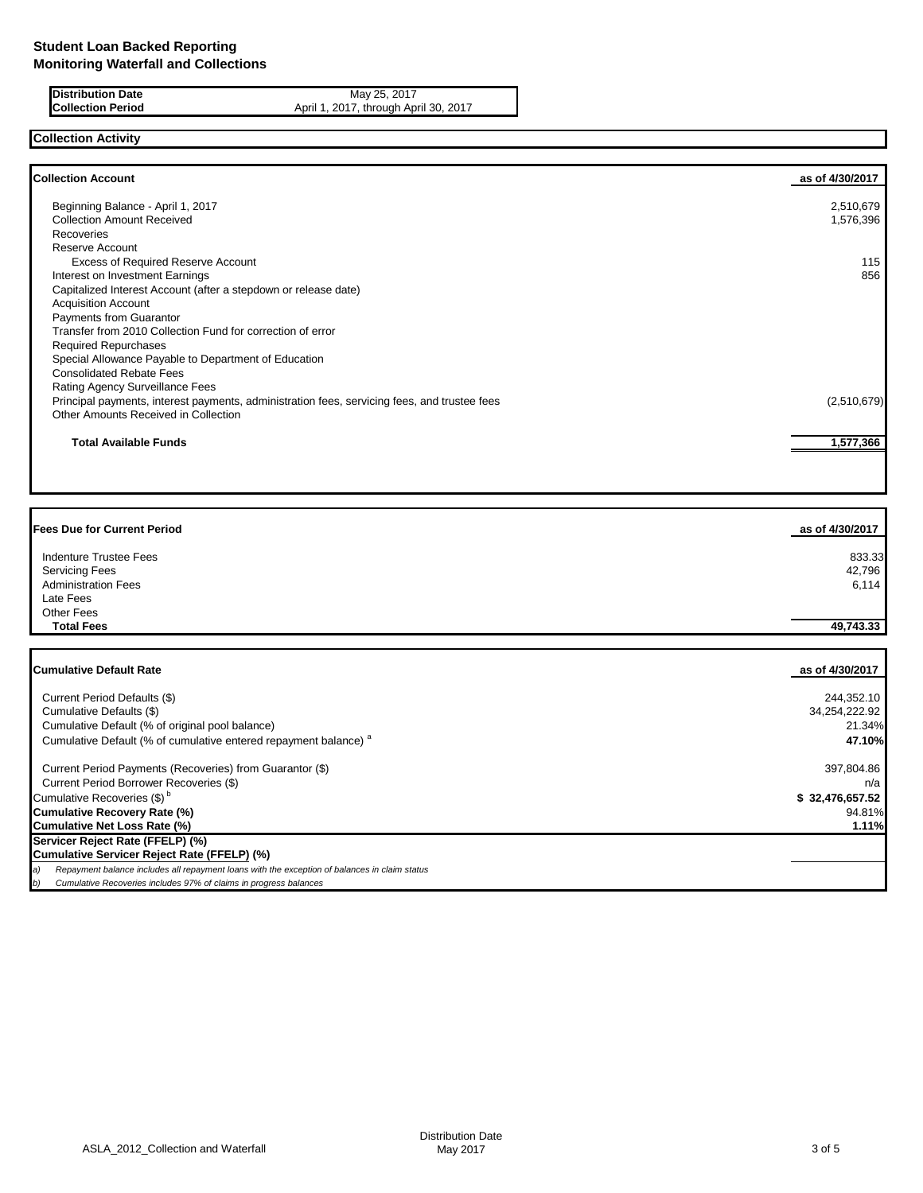**Distribution Date** May 25, 2017<br>**Collection Period** April 1, 2017, through Apri April 1, 2017, through April 30, 2017

# **Collection Activity**

| Beginning Balance - April 1, 2017<br><b>Collection Amount Received</b>                       | 2,510,679   |
|----------------------------------------------------------------------------------------------|-------------|
|                                                                                              |             |
|                                                                                              | 1,576,396   |
| <b>Recoveries</b>                                                                            |             |
| Reserve Account                                                                              |             |
| <b>Excess of Required Reserve Account</b>                                                    | 115         |
| Interest on Investment Earnings                                                              | 856         |
| Capitalized Interest Account (after a stepdown or release date)                              |             |
| <b>Acquisition Account</b>                                                                   |             |
| Payments from Guarantor                                                                      |             |
| Transfer from 2010 Collection Fund for correction of error                                   |             |
| <b>Required Repurchases</b>                                                                  |             |
| Special Allowance Payable to Department of Education                                         |             |
| <b>Consolidated Rebate Fees</b>                                                              |             |
| Rating Agency Surveillance Fees                                                              |             |
| Principal payments, interest payments, administration fees, servicing fees, and trustee fees | (2,510,679) |
| Other Amounts Received in Collection                                                         |             |
| <b>Total Available Funds</b>                                                                 | 1,577,366   |

| <b>Fees Due for Current Period</b> | as of 4/30/2017 |
|------------------------------------|-----------------|
| Indenture Trustee Fees             | 833.33          |
| <b>Servicing Fees</b>              | 42,796          |
| <b>Administration Fees</b>         | 6,114           |
| Late Fees                          |                 |
| <b>Other Fees</b>                  |                 |
| <b>Total Fees</b>                  | 49,743.33       |
| <b>Cumulative Default Rate</b>     | as of 4/30/2017 |
| Current Period Defaults (\$)       | 244,352.10      |
| Cumulative Defaults (\$)           | 34,254,222.92   |
|                                    |                 |

| Cumulative Default (% of original pool balance)                                                     | 21.34%          |
|-----------------------------------------------------------------------------------------------------|-----------------|
| Cumulative Default (% of cumulative entered repayment balance) <sup>a</sup>                         | 47.10%          |
| Current Period Payments (Recoveries) from Guarantor (\$)                                            | 397,804.86      |
| Current Period Borrower Recoveries (\$)                                                             | n/a             |
| Cumulative Recoveries (\$) <sup>b</sup>                                                             | \$32,476,657.52 |
| <b>Cumulative Recovery Rate (%)</b>                                                                 | 94.81%          |
| <b>Cumulative Net Loss Rate (%)</b>                                                                 | 1.11%           |
| Servicer Reject Rate (FFELP) (%)                                                                    |                 |
| Cumulative Servicer Reject Rate (FFELP) (%)                                                         |                 |
| Repayment balance includes all repayment loans with the exception of balances in claim status<br>a) |                 |
| Cumulative Recoveries includes 97% of claims in progress balances                                   |                 |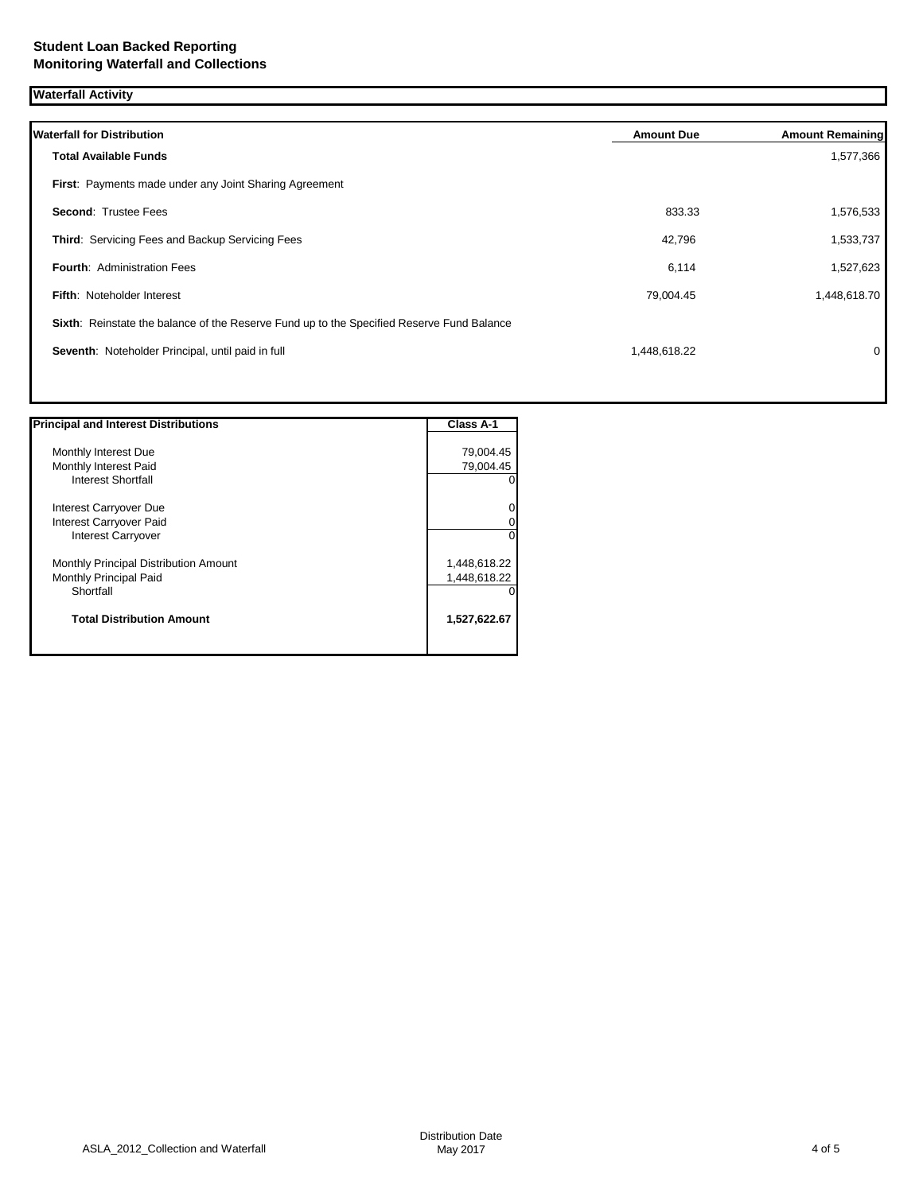**Waterfall Activity**

| <b>Waterfall for Distribution</b>                                                         | <b>Amount Due</b> | <b>Amount Remaining</b> |
|-------------------------------------------------------------------------------------------|-------------------|-------------------------|
| <b>Total Available Funds</b>                                                              |                   | 1,577,366               |
| First: Payments made under any Joint Sharing Agreement                                    |                   |                         |
| <b>Second: Trustee Fees</b>                                                               | 833.33            | 1,576,533               |
| Third: Servicing Fees and Backup Servicing Fees                                           | 42,796            | 1,533,737               |
| <b>Fourth: Administration Fees</b>                                                        | 6,114             | 1,527,623               |
| Fifth: Noteholder Interest                                                                | 79,004.45         | 1,448,618.70            |
| Sixth: Reinstate the balance of the Reserve Fund up to the Specified Reserve Fund Balance |                   |                         |
| Seventh: Noteholder Principal, until paid in full                                         | 1,448,618.22      | 0                       |
|                                                                                           |                   |                         |

| <b>Principal and Interest Distributions</b> | <b>Class A-1</b> |
|---------------------------------------------|------------------|
| Monthly Interest Due                        | 79,004.45        |
| Monthly Interest Paid                       | 79,004.45        |
| <b>Interest Shortfall</b>                   |                  |
| Interest Carryover Due                      |                  |
| Interest Carryover Paid                     |                  |
| <b>Interest Carryover</b>                   |                  |
| Monthly Principal Distribution Amount       | 1,448,618.22     |
| Monthly Principal Paid                      | 1,448,618.22     |
| Shortfall                                   |                  |
| <b>Total Distribution Amount</b>            | 1,527,622.67     |
|                                             |                  |